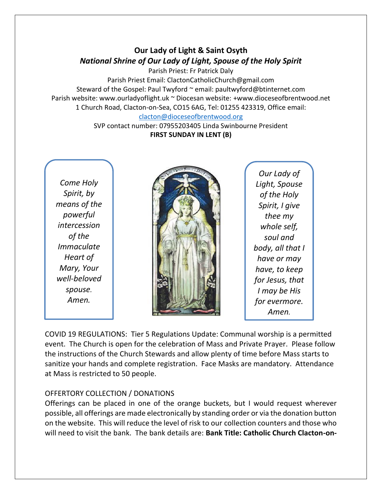## **Our Lady of Light & Saint Osyth** *National Shrine of Our Lady of Light, Spouse of the Holy Spirit*

Parish Priest: Fr Patrick Daly Parish Priest Email: ClactonCatholicChurch@gmail.com Steward of the Gospel: Paul Twyford ~ email: paultwyford@btinternet.com Parish website: www.ourladyoflight.uk ~ Diocesan website: +www.dioceseofbrentwood.net 1 Church Road, Clacton-on-Sea, CO15 6AG, Tel: 01255 423319, Office email: [clacton@dioceseofbrentwood.org](mailto:clacton@dioceseofbrentwood.org)

SVP contact number: 07955203405 Linda Swinbourne President **FIRST SUNDAY IN LENT (B)**

*Come Holy Spirit, by means of the powerful intercession of the Immaculate Heart of Mary, Your well-beloved spouse. Amen.*



*Our Lady of Light, Spouse of the Holy Spirit, I give thee my whole self, soul and body, all that I have or may have, to keep for Jesus, that I may be His for evermore. Amen.*

COVID 19 REGULATIONS: Tier 5 Regulations Update: Communal worship is a permitted event. The Church is open for the celebration of Mass and Private Prayer. Please follow the instructions of the Church Stewards and allow plenty of time before Mass starts to sanitize your hands and complete registration. Face Masks are mandatory. Attendance at Mass is restricted to 50 people.

## OFFERTORY COLLECTION / DONATIONS

Offerings can be placed in one of the orange buckets, but I would request wherever possible, all offerings are made electronically by standing order or via the donation button on the website. This will reduce the level of risk to our collection counters and those who will need to visit the bank. The bank details are: **Bank Title: Catholic Church Clacton-on-**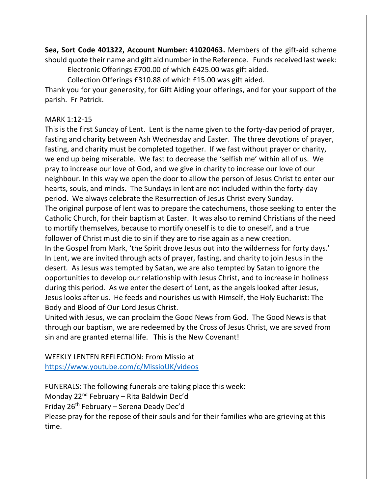**Sea, Sort Code 401322, Account Number: 41020463.** Members of the gift-aid scheme should quote their name and gift aid number in the Reference. Funds received last week: Electronic Offerings £700.00 of which £425.00 was gift aided.

Collection Offerings £310.88 of which £15.00 was gift aided.

Thank you for your generosity, for Gift Aiding your offerings, and for your support of the parish. Fr Patrick.

## MARK 1:12-15

This is the first Sunday of Lent. Lent is the name given to the forty-day period of prayer, fasting and charity between Ash Wednesday and Easter. The three devotions of prayer, fasting, and charity must be completed together. If we fast without prayer or charity, we end up being miserable. We fast to decrease the 'selfish me' within all of us. We pray to increase our love of God, and we give in charity to increase our love of our neighbour. In this way we open the door to allow the person of Jesus Christ to enter our hearts, souls, and minds. The Sundays in lent are not included within the forty-day period. We always celebrate the Resurrection of Jesus Christ every Sunday. The original purpose of lent was to prepare the catechumens, those seeking to enter the Catholic Church, for their baptism at Easter. It was also to remind Christians of the need to mortify themselves, because to mortify oneself is to die to oneself, and a true follower of Christ must die to sin if they are to rise again as a new creation. In the Gospel from Mark, 'the Spirit drove Jesus out into the wilderness for forty days.' In Lent, we are invited through acts of prayer, fasting, and charity to join Jesus in the desert. As Jesus was tempted by Satan, we are also tempted by Satan to ignore the opportunities to develop our relationship with Jesus Christ, and to increase in holiness during this period. As we enter the desert of Lent, as the angels looked after Jesus, Jesus looks after us. He feeds and nourishes us with Himself, the Holy Eucharist: The Body and Blood of Our Lord Jesus Christ.

United with Jesus, we can proclaim the Good News from God. The Good News is that through our baptism, we are redeemed by the Cross of Jesus Christ, we are saved from sin and are granted eternal life. This is the New Covenant!

WEEKLY LENTEN REFLECTION: From Missio at <https://www.youtube.com/c/MissioUK/videos>

FUNERALS: The following funerals are taking place this week: Monday 22nd February – Rita Baldwin Dec'd Friday 26th February – Serena Deady Dec'd Please pray for the repose of their souls and for their families who are grieving at this time.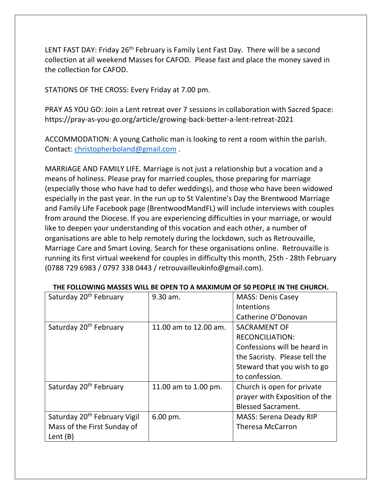LENT FAST DAY: Friday 26<sup>th</sup> February is Family Lent Fast Day. There will be a second collection at all weekend Masses for CAFOD. Please fast and place the money saved in the collection for CAFOD.

STATIONS OF THE CROSS: Every Friday at 7.00 pm.

PRAY AS YOU GO: Join a Lent retreat over 7 sessions in collaboration with Sacred Space: https://pray-as-you-go.org/article/growing-back-better-a-lent-retreat-2021

ACCOMMODATION: A young Catholic man is looking to rent a room within the parish. Contact: [christopherboland@gmail.com](mailto:christopherboland@gmail.com) .

MARRIAGE AND FAMILY LIFE. Marriage is not just a relationship but a vocation and a means of holiness. Please pray for married couples, those preparing for marriage (especially those who have had to defer weddings), and those who have been widowed especially in the past year. In the run up to St Valentine's Day the Brentwood Marriage and Family Life Facebook page (BrentwoodMandFL) will include interviews with couples from around the Diocese. If you are experiencing difficulties in your marriage, or would like to deepen your understanding of this vocation and each other, a number of organisations are able to help remotely during the lockdown, such as Retrouvaille, Marriage Care and Smart Loving. Search for these organisations online. Retrouvaille is running its first virtual weekend for couples in difficulty this month, 25th - 28th February (0788 729 6983 / 0797 338 0443 / retrouvailleukinfo@gmail.com).

| Saturday 20 <sup>th</sup> February       | 9.30 am.              | <b>MASS: Denis Casey</b>      |
|------------------------------------------|-----------------------|-------------------------------|
|                                          |                       | <b>Intentions</b>             |
|                                          |                       | Catherine O'Donovan           |
| Saturday 20 <sup>th</sup> February       | 11.00 am to 12.00 am. | <b>SACRAMENT OF</b>           |
|                                          |                       | <b>RECONCILIATION:</b>        |
|                                          |                       | Confessions will be heard in  |
|                                          |                       | the Sacristy. Please tell the |
|                                          |                       | Steward that you wish to go   |
|                                          |                       | to confession.                |
| Saturday 20 <sup>th</sup> February       | 11.00 am to 1.00 pm.  | Church is open for private    |
|                                          |                       | prayer with Exposition of the |
|                                          |                       | <b>Blessed Sacrament.</b>     |
| Saturday 20 <sup>th</sup> February Vigil | $6.00$ pm.            | <b>MASS: Serena Deady RIP</b> |
| Mass of the First Sunday of              |                       | <b>Theresa McCarron</b>       |
| Lent $(B)$                               |                       |                               |

## **THE FOLLOWING MASSES WILL BE OPEN TO A MAXIMUM OF 50 PEOPLE IN THE CHURCH.**